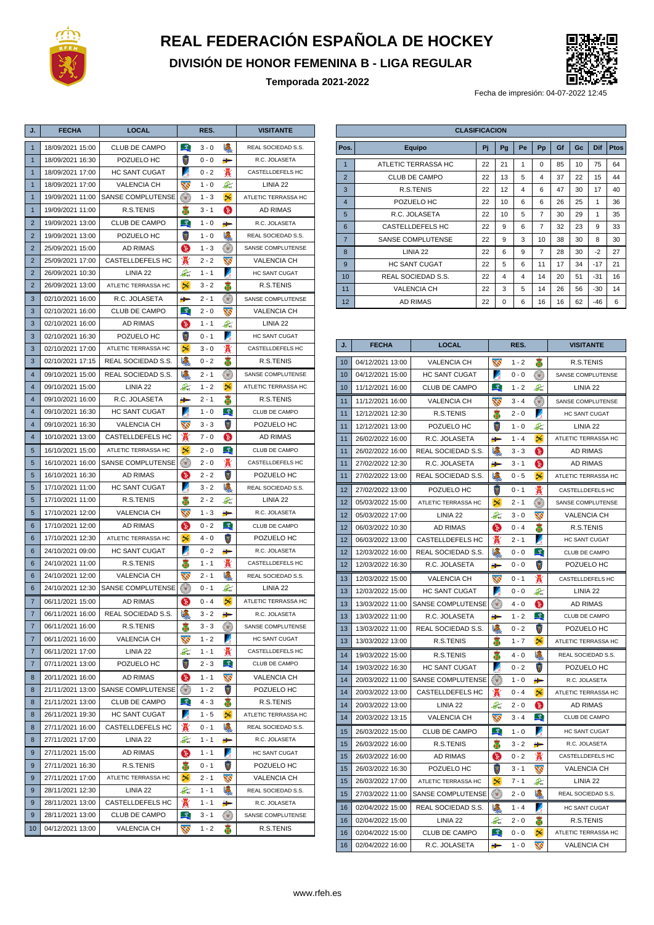

## **REAL FEDERACIÓN ESPAÑOLA DE HOCKEY**

**DIVISIÓN DE HONOR FEMENINA B - LIGA REGULAR**

**Temporada 2021-2022**



Fecha de impresión: 04-07-2022 12:45

| J.                      | <b>FECHA</b>     | <b>LOCAL</b>         | RES.                     |         |                         | <b>VISITANTE</b>    |  |
|-------------------------|------------------|----------------------|--------------------------|---------|-------------------------|---------------------|--|
| $\mathbf{1}$            | 18/09/2021 15:00 | CLUB DE CAMPO        | $\mathcal{L}$            | $3 - 0$ | U                       | REAL SOCIEDAD S.S.  |  |
| $\mathbf{1}$            | 18/09/2021 16:30 | POZUELO HC           | X                        | $0 - 0$ | ₩                       | R.C. JOLASETA       |  |
| $\mathbf{1}$            | 18/09/2021 17:00 | HC SANT CUGAT        | И                        | $0 - 2$ | ₩                       | CASTELLDEFELS HC    |  |
| $\overline{1}$          | 18/09/2021 17:00 | <b>VALENCIA CH</b>   | W                        | $1 - 0$ | $2\epsilon$             | LINIA 22            |  |
| $\mathbf{1}$            | 19/09/2021 11:00 | SANSE COMPLUTENSE    | $\left( \bullet \right)$ | $1 - 3$ | $\infty$                | ATLETIC TERRASSA HC |  |
| $\mathbf{1}$            | 19/09/2021 11:00 | R.S.TENIS            | ä                        | 3 - 1   | $\bigcirc$              | <b>AD RIMAS</b>     |  |
| $\overline{2}$          | 19/09/2021 13:00 | CLUB DE CAMPO        | $\mathcal{L}$            | $1 - 0$ | ₩                       | R.C. JOLASETA       |  |
| $\overline{2}$          | 19/09/2021 13:00 | POZUELO HC           | X                        | $1 - 0$ | U                       | REAL SOCIEDAD S.S.  |  |
| $\overline{2}$          | 25/09/2021 15:00 | AD RIMAS             | 9                        | $1 - 3$ | $(\bullet)$             | SANSE COMPLUTENSE   |  |
| $\overline{2}$          | 25/09/2021 17:00 | CASTELLDEFELS HC     | X                        | $2 - 2$ | $\mathbf{v}$            | <b>VALENCIA CH</b>  |  |
| $\overline{2}$          | 26/09/2021 10:30 | LINIA 22             | $2\epsilon$              | $1 - 1$ | Z                       | HC SANT CUGAT       |  |
| $\overline{2}$          | 26/09/2021 13:00 | ATLETIC TERRASSA HC  | $\infty$                 | 3 - 2   | æ                       | R.S.TENIS           |  |
| 3                       | 02/10/2021 16:00 | R.C. JOLASETA        | ₽                        | $2 - 1$ | $(\bullet,$             | SANSE COMPLUTENSE   |  |
| 3                       | 02/10/2021 16:00 | CLUB DE CAMPO        |                          | $2 - 0$ | $\mathbf{v}$            | <b>VALENCIA CH</b>  |  |
| 3                       | 02/10/2021 16:00 | <b>AD RIMAS</b>      | (5)                      | $1 - 1$ | $\mathbb{Z}$            | LINIA 22            |  |
| 3                       | 02/10/2021 16:30 | POZUELO HC           | 岗                        | $0 - 1$ | И                       | HC SANT CUGAT       |  |
| 3                       | 02/10/2021 17:00 | ATLETIC TERRASSA HC  | 釆                        | $3 - 0$ | Ã                       | CASTELLDEFELS HC    |  |
| 3                       | 02/10/2021 17:15 | REAL SOCIEDAD S.S.   | L                        | $0 - 2$ | ē                       | R.S.TENIS           |  |
| $\overline{4}$          | 09/10/2021 15:00 | REAL SOCIEDAD S.S.   | U                        | 2 - 1   | $\circ$                 | SANSE COMPLUTENSE   |  |
| $\overline{\mathbf{4}}$ | 09/10/2021 15:00 | LINIA 22             | $\mathbb{Z}_{\alpha}$    | $1 - 2$ | 5E                      | ATLETIC TERRASSA HC |  |
| $\overline{4}$          | 09/10/2021 16:00 | R.C. JOLASETA        | ≞                        | $2 - 1$ | 畵                       | R.S.TENIS           |  |
| $\overline{\mathbf{4}}$ | 09/10/2021 16:30 | HC SANT CUGAT        | И                        | $1 - 0$ | _오.                     | CLUB DE CAMPO       |  |
| $\overline{4}$          | 09/10/2021 16:30 | <b>VALENCIA CH</b>   | $\mathbf{v}$             | $3 - 3$ | 岗                       | POZUELO HC          |  |
| $\overline{4}$          | 10/10/2021 13:00 | CASTELLDEFELS HC     | ₩                        | $7 - 0$ | $\bigcirc$              | AD RIMAS            |  |
| 5                       | 16/10/2021 15:00 | ATLETIC TERRASSA HC  | 矢                        | $2 - 0$ | $\mathcal{L}$           | CLUB DE CAMPO       |  |
| 5                       | 16/10/2021 16:00 | SANSE COMPLUTENSE    | $\circ$                  | $2 - 0$ | ₩                       | CASTELLDEFELS HC    |  |
| 5                       | 16/10/2021 16:30 | <b>AD RIMAS</b>      | 9                        | $2 - 2$ | $\overline{\mathbb{Z}}$ | POZUELO HC          |  |
| 5                       | 17/10/2021 11:00 | HC SANT CUGAT        | И                        | $3 - 2$ | U                       | REAL SOCIEDAD S.S.  |  |
| 5                       | 17/10/2021 11:00 | R.S.TENIS            | ä                        | $2 - 2$ | $\mathbb{Z}$            | LINIA <sub>22</sub> |  |
| 5                       | 17/10/2021 12:00 | <b>VALENCIA CH</b>   | Ŵ                        | $1 - 3$ | <del>₽</del>            | R.C. JOLASETA       |  |
| 6                       | 17/10/2021 12:00 | AD RIMAS             | ⊌                        | $0 - 2$ | -31                     | CLUB DE CAMPO       |  |
| 6                       | 17/10/2021 12:30 | ATLETIC TERRASSA HC  | $\infty$                 | $4 - 0$ | 岗                       | POZUELO HC          |  |
| 6                       | 24/10/2021 09:00 | <b>HC SANT CUGAT</b> | И                        | $0 - 2$ | ↬                       | R.C. JOLASETA       |  |
| 6                       | 24/10/2021 11:00 | R.S.TENIS            | ä                        | $1 - 1$ | ₩                       | CASTELLDEFELS HC    |  |
| 6                       | 24/10/2021 12:00 | <b>VALENCIA CH</b>   | XŚ                       | $2 - 1$ | 嬺                       | REAL SOCIEDAD S.S.  |  |
| 6                       | 24/10/2021 12:30 | SANSE COMPLUTENSE    |                          | $0 - 1$ | $2\epsilon$             | LINIA 22            |  |
| 7                       | 06/11/2021 15:00 | <b>AD RIMAS</b>      | 6                        | $0 - 4$ | Уć                      | ATLETIC TERRASSA HC |  |
| $\overline{7}$          | 06/11/2021 16:00 | REAL SOCIEDAD S.S.   |                          | $3 - 2$ | 争                       | R.C. JOLASETA       |  |
| $\overline{7}$          | 06/11/2021 16:00 | R.S.TENIS            | ä                        | $3 - 3$ | $\circ$                 | SANSE COMPLUTENSE   |  |
| 7                       | 06/11/2021 16:00 | <b>VALENCIA CH</b>   | W                        | $1 - 2$ | z                       | HC SANT CUGAT       |  |
| $\overline{7}$          | 06/11/2021 17:00 | LINIA 22             | $\mathbb{Z}_n$           | $1 - 1$ | X                       | CASTELLDEFELS HC    |  |
| $\overline{7}$          | 07/11/2021 13:00 | POZUELO HC           | X                        | $2 - 3$ | - 오.                    | CLUB DE CAMPO       |  |
| 8                       | 20/11/2021 16:00 | AD RIMAS             | 6                        | $1 - 1$ | $\mathbf{w}$            | <b>VALENCIA CH</b>  |  |
| 8                       | 21/11/2021 13:00 | SANSE COMPLUTENSE    | $(\bullet)$              | $1 - 2$ | ā                       | POZUELO HC          |  |
| 8                       | 21/11/2021 13:00 | CLUB DE CAMPO        | $\mathcal{L}$            | $4 - 3$ | æ                       | R.S.TENIS           |  |
| 8                       | 26/11/2021 19:30 | <b>HC SANT CUGAT</b> | И                        | $1 - 5$ | ₩                       | ATLETIC TERRASSA HC |  |
| 8                       | 27/11/2021 16:00 | CASTELLDEFELS HC     | X                        | $0 - 1$ | U                       | REAL SOCIEDAD S.S.  |  |
| 8                       | 27/11/2021 17:00 | LINIA 22             | $2\epsilon$              | $1 - 1$ | ₩                       | R.C. JOLASETA       |  |
| 9                       | 27/11/2021 15:00 | AD RIMAS             | ❸                        | $1 - 1$ | Z                       | HC SANT CUGAT       |  |
| 9                       | 27/11/2021 16:30 | R.S.TENIS            | æ                        | $0 - 1$ | T                       | POZUELO HC          |  |
| 9                       | 27/11/2021 17:00 | ATLETIC TERRASSA HC  | 56                       | $2 - 1$ | W                       | VALENCIA CH         |  |
| 9                       | 28/11/2021 12:30 | LINIA 22             | $\mathbb{Z}$             | $1 - 1$ | U                       | REAL SOCIEDAD S.S.  |  |
| 9                       | 28/11/2021 13:00 | CASTELLDEFELS HC     | X                        | 1 - 1   | ₩                       | R.C. JOLASETA       |  |
| 9                       | 28/11/2021 13:00 | CLUB DE CAMPO        |                          | $3 - 1$ | $\circ$                 | SANSE COMPLUTENSE   |  |
| 10                      | 04/12/2021 13:00 | VALENCIA CH          | W                        | $1 - 2$ | ē                       | R.S.TENIS           |  |

| <b>CLASIFICACION</b> |                          |    |          |    |                |    |    |              |             |
|----------------------|--------------------------|----|----------|----|----------------|----|----|--------------|-------------|
| Pos.                 | Equipo                   | Pi | Pg       | Pe | Pp             | Gf | Gc | Dif          | <b>Ptos</b> |
| 1                    | ATLETIC TERRASSA HC      | 22 | 21       | 1  | $\Omega$       | 85 | 10 | 75           | 64          |
| $\overline{2}$       | CLUB DE CAMPO            | 22 | 13       | 5  | 4              | 37 | 22 | 15           | 44          |
| 3                    | R.S.TENIS                | 22 | 12       | 4  | 6              | 47 | 30 | 17           | 40          |
| $\overline{4}$       | POZUELO HC               | 22 | 10       | 6  | 6              | 26 | 25 | 1            | 36          |
| 5                    | R.C. JOLASETA            | 22 | 10       | 5  | $\overline{7}$ | 30 | 29 | $\mathbf{1}$ | 35          |
| 6                    | <b>CASTELLDEFELS HC</b>  | 22 | 9        | 6  | $\overline{7}$ | 32 | 23 | 9            | 33          |
| $\overline{7}$       | <b>SANSE COMPLUTENSE</b> | 22 | 9        | 3  | 10             | 38 | 30 | 8            | 30          |
| 8                    | LINIA <sub>22</sub>      | 22 | 6        | 9  | $\overline{7}$ | 28 | 30 | $-2$         | 27          |
| 9                    | <b>HC SANT CUGAT</b>     | 22 | 5        | 6  | 11             | 17 | 34 | $-17$        | 21          |
| 10                   | REAL SOCIEDAD S.S.       | 22 | 4        | 4  | 14             | 20 | 51 | $-31$        | 16          |
| 11                   | <b>VALENCIA CH</b>       | 22 | 3        | 5  | 14             | 26 | 56 | $-30$        | 14          |
| 12                   | <b>AD RIMAS</b>          | 22 | $\Omega$ | 6  | 16             | 16 | 62 | $-46$        | 6           |

| J. | <b>FECHA</b>     | <b>LOCAL</b>         | RES.                     |         |                         | <b>VISITANTE</b>         |  |
|----|------------------|----------------------|--------------------------|---------|-------------------------|--------------------------|--|
| 10 | 04/12/2021 13:00 | <b>VALENCIA CH</b>   | W                        | $1 - 2$ | ē                       | R.S.TENIS                |  |
| 10 | 04/12/2021 15:00 | <b>HC SANT CUGAT</b> | И                        | 0 - 0   | $(\bullet)$             | SANSE COMPLUTENSE        |  |
| 10 | 11/12/2021 16:00 | <b>CLUB DE CAMPO</b> | -2.                      | $1 - 2$ | $\mathcal{L}$           | LINIA 22                 |  |
| 11 | 11/12/2021 16:00 | <b>VALENCIA CH</b>   | $\overline{\mathbf{w}}$  | $3 - 4$ | $(\bullet)$             | <b>SANSE COMPLUTENSE</b> |  |
| 11 | 12/12/2021 12:30 | R.S.TENIS            | 畵                        | $2 - 0$ | И                       | HC SANT CUGAT            |  |
| 11 | 12/12/2021 13:00 | POZUELO HC           | R                        | $1 - 0$ | $\mathcal{L}_a$         | LINIA <sub>22</sub>      |  |
| 11 | 26/02/2022 16:00 | R.C. JOLASETA        | ÷                        | $1 - 4$ | 兴                       | ATLETIC TERRASSA HC      |  |
| 11 | 26/02/2022 16:00 | REAL SOCIEDAD S.S.   | V.                       | $3 - 3$ | Q                       | <b>AD RIMAS</b>          |  |
| 11 | 27/02/2022 12:30 | R.C. JOLASETA        | <del>₽</del>             | $3 - 1$ | 6                       | <b>AD RIMAS</b>          |  |
| 11 | 27/02/2022 13:00 | REAL SOCIEDAD S.S.   | 嬺                        | $0 - 5$ | 56                      | ATLETIC TERRASSA HC      |  |
| 12 | 27/02/2022 13:00 | POZUELO HC           | W                        | $0 - 1$ | ₩                       | <b>CASTELLDEFELS HC</b>  |  |
| 12 | 05/03/2022 15:00 | ATLETIC TERRASSA HC  | ЫE                       | $2 - 1$ | O,                      | <b>SANSE COMPLUTENSE</b> |  |
| 12 | 05/03/2022 17:00 | LINIA 22             | $\mathcal{Z}_{\alpha}$   | $3 - 0$ | Ŵ                       | <b>VALENCIA CH</b>       |  |
| 12 | 06/03/2022 10:30 | <b>AD RIMAS</b>      | Q                        | $0 - 4$ | ä                       | R.S.TENIS                |  |
| 12 | 06/03/2022 13:00 | CASTELLDEFELS HC     | ₩                        | $2 - 1$ | Z                       | <b>HC SANT CUGAT</b>     |  |
| 12 | 12/03/2022 16:00 | REAL SOCIEDAD S.S.   | U                        | $0 - 0$ | $\mathcal{L}$           | CLUB DE CAMPO            |  |
| 12 | 12/03/2022 16:30 | R.C. JOLASETA        | ÷                        | $0 - 0$ | ā                       | POZUELO HC               |  |
| 13 | 12/03/2022 15:00 | <b>VALENCIA CH</b>   | XS                       | $0 - 1$ | ₩                       | <b>CASTELLDEFELS HC</b>  |  |
| 13 | 12/03/2022 15:00 | <b>HC SANT CUGAT</b> | Z                        | $0 - 0$ | $\mathcal{Z}_\kappa$    | LINIA <sub>22</sub>      |  |
| 13 | 13/03/2022 11:00 | SANSE COMPLUTENSE    | $\circ$                  | $4 - 0$ | ❺                       | <b>AD RIMAS</b>          |  |
| 13 | 13/03/2022 11:00 | R.C. JOLASETA        | ≞                        | $1 - 2$ | $\mathcal{L}$           | CLUB DE CAMPO            |  |
| 13 | 13/03/2022 11:00 | REAL SOCIEDAD S.S.   | U                        | $0 - 2$ | $\overline{\mathbf{z}}$ | POZUELO HC               |  |
| 13 | 13/03/2022 13:00 | R.S.TENIS            | ã                        | $1 - 7$ | ЫE                      | ATLETIC TERRASSA HC      |  |
| 14 | 19/03/2022 15:00 | R.S.TENIS            | æ                        | 4 - 0   | Ù.                      | REAL SOCIEDAD S.S.       |  |
| 14 | 19/03/2022 16:30 | <b>HC SANT CUGAT</b> | И.                       | $0 - 2$ | Χ                       | POZUELO HC               |  |
| 14 | 20/03/2022 11:00 | SANSE COMPLUTENSE    | $\circ$                  | $1 - 0$ | ≞                       | R.C. JOLASETA            |  |
| 14 | 20/03/2022 13:00 | CASTELLDEFELS HC     | Ж                        | $0 - 4$ | 5k                      | ATLETIC TERRASSA HC      |  |
| 14 | 20/03/2022 13:00 | LINIA 22             | $\mathcal{Z}$            | $2 - 0$ | 6                       | <b>AD RIMAS</b>          |  |
| 14 | 20/03/2022 13:15 | <b>VALENCIA CH</b>   | W                        | $3 - 4$ | $\mathcal{R}$           | CLUB DE CAMPO            |  |
| 15 | 26/03/2022 15:00 | CLUB DE CAMPO        | $\mathcal{L}$            | $1 - 0$ | Z                       | HC SANT CUGAT            |  |
| 15 | 26/03/2022 16:00 | R.S.TENIS            | ä                        | $3 - 2$ | <del>₽</del>            | R.C. JOLASETA            |  |
| 15 | 26/03/2022 16:00 | <b>AD RIMAS</b>      | 6                        | $0 - 2$ | ₩                       | CASTELLDEFELS HC         |  |
| 15 | 26/03/2022 16:30 | POZUELO HC           | 岗                        | $3 - 1$ | W                       | <b>VALENCIA CH</b>       |  |
| 15 | 26/03/2022 17:00 | ATLETIC TERRASSA HC  | 56                       | $7 - 1$ | $\mathcal{Z}_n$         | LINIA <sub>22</sub>      |  |
| 15 | 27/03/2022 11:00 | SANSE COMPLUTENSE    | $\circ$ .                | $2 - 0$ | 矏                       | REAL SOCIEDAD S.S.       |  |
| 16 | 02/04/2022 15:00 | REAL SOCIEDAD S.S.   | U                        | $1 - 4$ | И                       | <b>HC SANT CUGAT</b>     |  |
| 16 | 02/04/2022 15:00 | LINIA <sub>22</sub>  | $\mathcal{Z}_{\epsilon}$ | $2 - 0$ | ä                       | R.S.TENIS                |  |
| 16 | 02/04/2022 15:00 | CLUB DE CAMPO        | $\mathcal{L}$            | $0 - 0$ | <b>DE</b>               | ATLETIC TERRASSA HC      |  |
| 16 | 02/04/2022 16:00 | R.C. JOLASETA        | ≞                        | $1 - 0$ | XŚ                      | <b>VALENCIA CH</b>       |  |